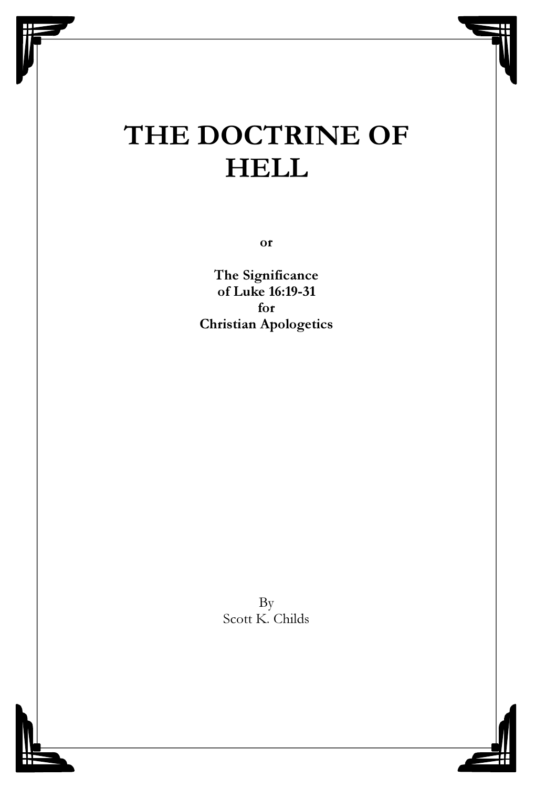# THE DOCTRINE OF **HELL**

or

The Significance of Luke 16:19-31 for Christian Apologetics

> By Scott K. Childs

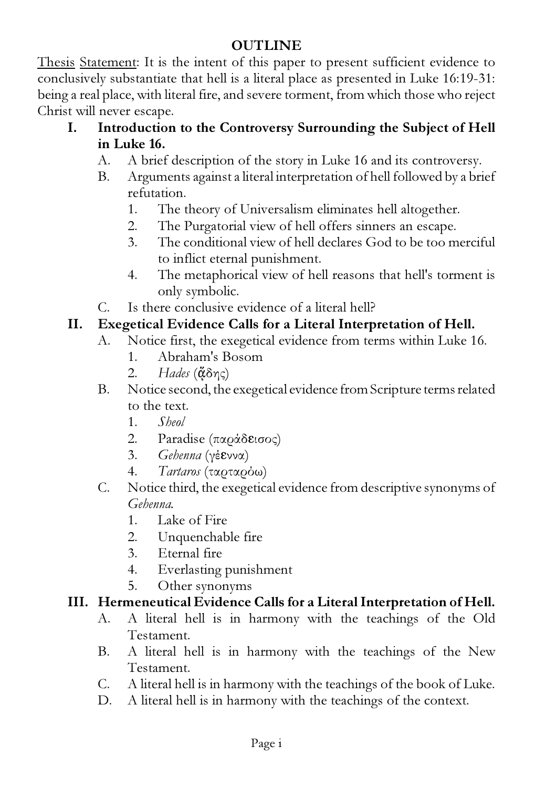# **OUTLINE**

Thesis Statement: It is the intent of this paper to present sufficient evidence to conclusively substantiate that hell is a literal place as presented in Luke 16:19-31: being a real place, with literal fire, and severe torment, from which those who reject Christ will never escape.

- I. Introduction to the Controversy Surrounding the Subject of Hell in Luke 16.
	- A. A brief description of the story in Luke 16 and its controversy.
	- B. Arguments against a literal interpretation of hell followed by a brief refutation.
		- 1. The theory of Universalism eliminates hell altogether.
		- 2. The Purgatorial view of hell offers sinners an escape.
		- 3. The conditional view of hell declares God to be too merciful to inflict eternal punishment.
		- 4. The metaphorical view of hell reasons that hell's torment is only symbolic.
	- C. Is there conclusive evidence of a literal hell?

# II. Exegetical Evidence Calls for a Literal Interpretation of Hell.

- A. Notice first, the exegetical evidence from terms within Luke 16.
	- 1. Abraham's Bosom
	- 2. *Hades* (¢δης)
- B. Notice second, the exegetical evidence from Scripture terms related to the text.
	- 1. *Sheol*
	- 2. Paradise (παράδεισος)
	- 3. *Gehenna* (γέεννα)
	- 4. *Tartaros* (ταρταρόω)
- C. Notice third, the exegetical evidence from descriptive synonyms of *Gehenna.*
	- 1. Lake of Fire
	- 2. Unquenchable fire
	- 3. Eternal fire
	- 4. Everlasting punishment
	- 5. Other synonyms

# III. Hermeneutical Evidence Calls for a Literal Interpretation of Hell.

- A. A literal hell is in harmony with the teachings of the Old Testament.
- B. A literal hell is in harmony with the teachings of the New Testament.
- C. A literal hell is in harmony with the teachings of the book of Luke.
- D. A literal hell is in harmony with the teachings of the context.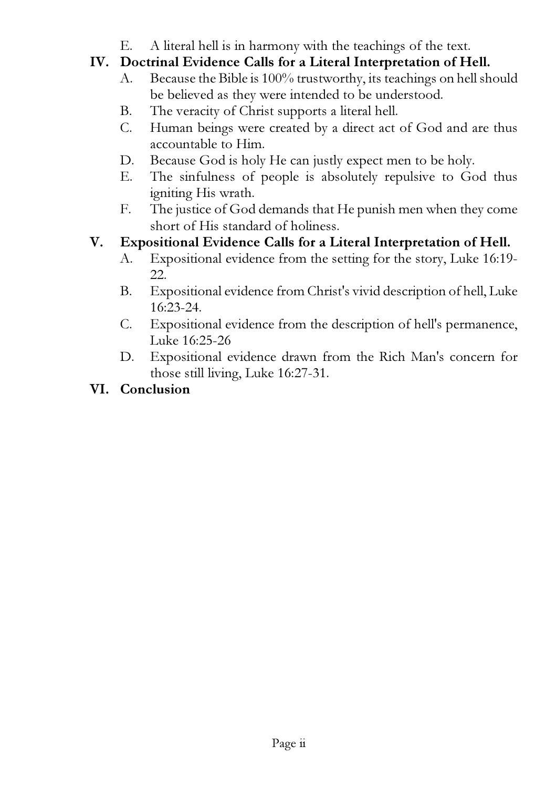E. A literal hell is in harmony with the teachings of the text.

# IV. Doctrinal Evidence Calls for a Literal Interpretation of Hell.

- A. Because the Bible is 100% trustworthy, its teachings on hell should be believed as they were intended to be understood.
- B. The veracity of Christ supports a literal hell.
- C. Human beings were created by a direct act of God and are thus accountable to Him.
- D. Because God is holy He can justly expect men to be holy.
- E. The sinfulness of people is absolutely repulsive to God thus igniting His wrath.
- F. The justice of God demands that He punish men when they come short of His standard of holiness.

# V. Expositional Evidence Calls for a Literal Interpretation of Hell.

- A. Expositional evidence from the setting for the story, Luke 16:19- 22.
- B. Expositional evidence from Christ's vivid description of hell, Luke 16:23-24.
- C. Expositional evidence from the description of hell's permanence, Luke 16:25-26
- D. Expositional evidence drawn from the Rich Man's concern for those still living, Luke 16:27-31.

# VI. Conclusion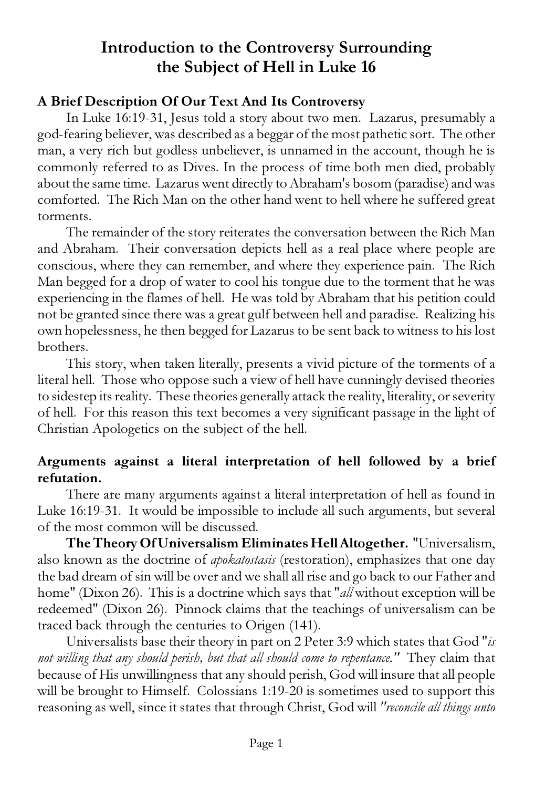# Introduction to the Controversy Surrounding the Subject of Hell in Luke 16

#### A Brief Description Of Our Text And Its Controversy

In Luke 16:19-31, Jesus told a story about two men. Lazarus, presumably a god-fearing believer, was described as a beggar of the most pathetic sort. The other man, a very rich but godless unbeliever, is unnamed in the account, though he is commonly referred to as Dives. In the process of time both men died, probably about the same time. Lazarus went directly to Abraham's bosom (paradise) and was comforted. The Rich Man on the other hand went to hell where he suffered great torments.

The remainder of the story reiterates the conversation between the Rich Man and Abraham. Their conversation depicts hell as a real place where people are conscious, where they can remember, and where they experience pain. The Rich Man begged for a drop of water to cool his tongue due to the torment that he was experiencing in the flames of hell. He was told by Abraham that his petition could not be granted since there was a great gulf between hell and paradise. Realizing his own hopelessness, he then begged for Lazarus to be sent back to witness to his lost brothers.

This story, when taken literally, presents a vivid picture of the torments of a literal hell. Those who oppose such a view of hell have cunningly devised theories to sidestep its reality. These theories generally attack the reality, literality, or severity of hell. For this reason this text becomes a very significant passage in the light of Christian Apologetics on the subject of the hell.

#### Arguments against a literal interpretation of hell followed by a brief refutation.

There are many arguments against a literal interpretation of hell as found in Luke 16:19-31. It would be impossible to include all such arguments, but several of the most common will be discussed.

The Theory Of Universalism Eliminates Hell Altogether. "Universalism, also known as the doctrine of *apokatostasis* (restoration), emphasizes that one day the bad dream of sin will be over and we shall all rise and go back to our Father and home" (Dixon 26). This is a doctrine which says that "*all* without exception will be redeemed" (Dixon 26). Pinnock claims that the teachings of universalism can be traced back through the centuries to Origen (141).

Universalists base their theory in part on 2 Peter 3:9 which states that God "*is not willing that any should perish, but that all should come to repentance."* They claim that because of His unwillingness that any should perish, God will insure that all people will be brought to Himself. Colossians 1:19-20 is sometimes used to support this reasoning as well, since it states that through Christ, God will *"reconcile all things unto*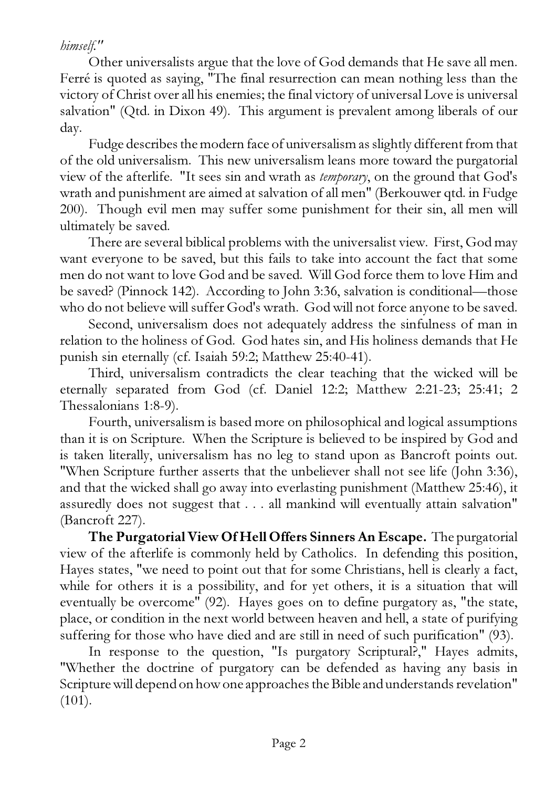# *himself."*

Other universalists argue that the love of God demands that He save all men. Ferré is quoted as saying, "The final resurrection can mean nothing less than the victory of Christ over all his enemies; the final victory of universal Love is universal salvation" (Qtd. in Dixon 49). This argument is prevalent among liberals of our day.

Fudge describes the modern face of universalism as slightly different from that of the old universalism. This new universalism leans more toward the purgatorial view of the afterlife. "It sees sin and wrath as *temporary*, on the ground that God's wrath and punishment are aimed at salvation of all men" (Berkouwer qtd. in Fudge 200). Though evil men may suffer some punishment for their sin, all men will ultimately be saved.

There are several biblical problems with the universalist view. First, God may want everyone to be saved, but this fails to take into account the fact that some men do not want to love God and be saved. Will God force them to love Him and be saved? (Pinnock 142). According to John 3:36, salvation is conditional—those who do not believe will suffer God's wrath. God will not force anyone to be saved.

Second, universalism does not adequately address the sinfulness of man in relation to the holiness of God. God hates sin, and His holiness demands that He punish sin eternally (cf. Isaiah 59:2; Matthew 25:40-41).

Third, universalism contradicts the clear teaching that the wicked will be eternally separated from God (cf. Daniel 12:2; Matthew 2:21-23; 25:41; 2 Thessalonians 1:8-9).

Fourth, universalism is based more on philosophical and logical assumptions than it is on Scripture. When the Scripture is believed to be inspired by God and is taken literally, universalism has no leg to stand upon as Bancroft points out. "When Scripture further asserts that the unbeliever shall not see life (John 3:36), and that the wicked shall go away into everlasting punishment (Matthew 25:46), it assuredly does not suggest that . . . all mankind will eventually attain salvation" (Bancroft 227).

The Purgatorial View Of Hell Offers Sinners An Escape. The purgatorial view of the afterlife is commonly held by Catholics. In defending this position, Hayes states, "we need to point out that for some Christians, hell is clearly a fact, while for others it is a possibility, and for yet others, it is a situation that will eventually be overcome" (92). Hayes goes on to define purgatory as, "the state, place, or condition in the next world between heaven and hell, a state of purifying suffering for those who have died and are still in need of such purification" (93).

In response to the question, "Is purgatory Scriptural?," Hayes admits, "Whether the doctrine of purgatory can be defended as having any basis in Scripture will depend on how one approaches the Bible and understands revelation"  $(101).$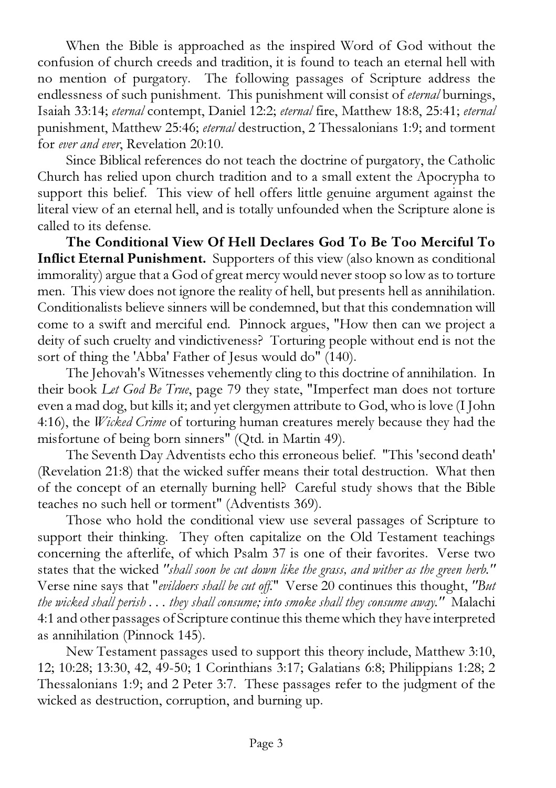When the Bible is approached as the inspired Word of God without the confusion of church creeds and tradition, it is found to teach an eternal hell with no mention of purgatory. The following passages of Scripture address the endlessness of such punishment. This punishment will consist of *eternal* burnings, Isaiah 33:14; *eternal* contempt, Daniel 12:2; *eternal* fire, Matthew 18:8, 25:41; *eternal* punishment, Matthew 25:46; *eternal* destruction, 2 Thessalonians 1:9; and torment for *ever and ever*, Revelation 20:10.

Since Biblical references do not teach the doctrine of purgatory, the Catholic Church has relied upon church tradition and to a small extent the Apocrypha to support this belief. This view of hell offers little genuine argument against the literal view of an eternal hell, and is totally unfounded when the Scripture alone is called to its defense.

The Conditional View Of Hell Declares God To Be Too Merciful To Inflict Eternal Punishment. Supporters of this view (also known as conditional immorality) argue that a God of great mercy would never stoop so low as to torture men. This view does not ignore the reality of hell, but presents hell as annihilation. Conditionalists believe sinners will be condemned, but that this condemnation will come to a swift and merciful end. Pinnock argues, "How then can we project a deity of such cruelty and vindictiveness? Torturing people without end is not the sort of thing the 'Abba' Father of Jesus would do" (140).

The Jehovah's Witnesses vehemently cling to this doctrine of annihilation. In their book *Let God Be True*, page 79 they state, "Imperfect man does not torture even a mad dog, but kills it; and yet clergymen attribute to God, who is love (I John 4:16), the *Wicked Crime* of torturing human creatures merely because they had the misfortune of being born sinners" (Qtd. in Martin 49).

The Seventh Day Adventists echo this erroneous belief. "This 'second death' (Revelation 21:8) that the wicked suffer means their total destruction. What then of the concept of an eternally burning hell? Careful study shows that the Bible teaches no such hell or torment" (Adventists 369).

Those who hold the conditional view use several passages of Scripture to support their thinking. They often capitalize on the Old Testament teachings concerning the afterlife, of which Psalm 37 is one of their favorites. Verse two states that the wicked *"shall soon be cut down like the grass, and wither as the green herb."* Verse nine says that "*evildoers shall be cut off.*" Verse 20 continues this thought, *"But the wicked shall perish . . . they shall consume; into smoke shall they consume away."* Malachi 4:1 and other passages of Scripture continue this theme which they have interpreted as annihilation (Pinnock 145).

New Testament passages used to support this theory include, Matthew 3:10, 12; 10:28; 13:30, 42, 49-50; 1 Corinthians 3:17; Galatians 6:8; Philippians 1:28; 2 Thessalonians 1:9; and 2 Peter 3:7. These passages refer to the judgment of the wicked as destruction, corruption, and burning up.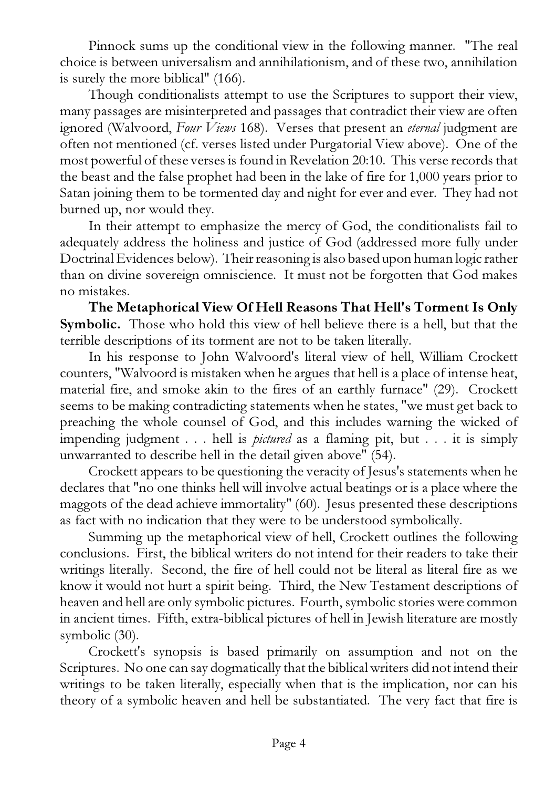Pinnock sums up the conditional view in the following manner. "The real choice is between universalism and annihilationism, and of these two, annihilation is surely the more biblical" (166).

Though conditionalists attempt to use the Scriptures to support their view, many passages are misinterpreted and passages that contradict their view are often ignored (Walvoord, *Four Views* 168). Verses that present an *eternal* judgment are often not mentioned (cf. verses listed under Purgatorial View above). One of the most powerful of these verses is found in Revelation 20:10. This verse records that the beast and the false prophet had been in the lake of fire for 1,000 years prior to Satan joining them to be tormented day and night for ever and ever. They had not burned up, nor would they.

In their attempt to emphasize the mercy of God, the conditionalists fail to adequately address the holiness and justice of God (addressed more fully under Doctrinal Evidences below). Their reasoning is also based upon human logic rather than on divine sovereign omniscience. It must not be forgotten that God makes no mistakes.

The Metaphorical View Of Hell Reasons That Hell's Torment Is Only Symbolic. Those who hold this view of hell believe there is a hell, but that the terrible descriptions of its torment are not to be taken literally.

In his response to John Walvoord's literal view of hell, William Crockett counters, "Walvoord is mistaken when he argues that hell is a place of intense heat, material fire, and smoke akin to the fires of an earthly furnace" (29). Crockett seems to be making contradicting statements when he states, "we must get back to preaching the whole counsel of God, and this includes warning the wicked of impending judgment . . . hell is *pictured* as a flaming pit, but . . . it is simply unwarranted to describe hell in the detail given above" (54).

Crockett appears to be questioning the veracity of Jesus's statements when he declares that "no one thinks hell will involve actual beatings or is a place where the maggots of the dead achieve immortality" (60). Jesus presented these descriptions as fact with no indication that they were to be understood symbolically.

Summing up the metaphorical view of hell, Crockett outlines the following conclusions. First, the biblical writers do not intend for their readers to take their writings literally. Second, the fire of hell could not be literal as literal fire as we know it would not hurt a spirit being. Third, the New Testament descriptions of heaven and hell are only symbolic pictures. Fourth, symbolic stories were common in ancient times. Fifth, extra-biblical pictures of hell in Jewish literature are mostly symbolic (30).

Crockett's synopsis is based primarily on assumption and not on the Scriptures. No one can say dogmatically that the biblical writers did not intend their writings to be taken literally, especially when that is the implication, nor can his theory of a symbolic heaven and hell be substantiated. The very fact that fire is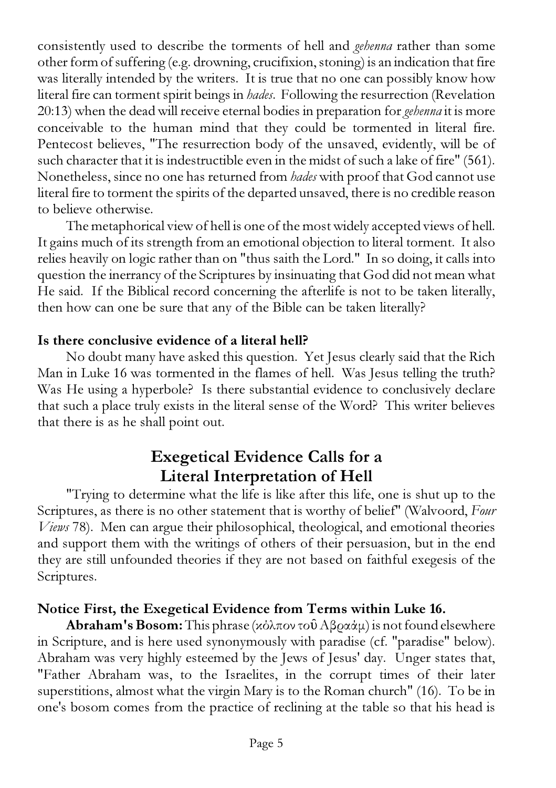consistently used to describe the torments of hell and *gehenna* rather than some other form of suffering (e.g. drowning, crucifixion, stoning) is an indication that fire was literally intended by the writers. It is true that no one can possibly know how literal fire can torment spirit beings in *hades*. Following the resurrection (Revelation 20:13) when the dead will receive eternal bodies in preparation for *gehenna* it is more conceivable to the human mind that they could be tormented in literal fire. Pentecost believes, "The resurrection body of the unsaved, evidently, will be of such character that it is indestructible even in the midst of such a lake of fire" (561). Nonetheless, since no one has returned from *hades* with proof that God cannot use literal fire to torment the spirits of the departed unsaved, there is no credible reason to believe otherwise.

The metaphorical view of hell is one of the most widely accepted views of hell. It gains much of its strength from an emotional objection to literal torment. It also relies heavily on logic rather than on "thus saith the Lord." In so doing, it calls into question the inerrancy of the Scriptures by insinuating that God did not mean what He said. If the Biblical record concerning the afterlife is not to be taken literally, then how can one be sure that any of the Bible can be taken literally?

## Is there conclusive evidence of a literal hell?

No doubt many have asked this question. Yet Jesus clearly said that the Rich Man in Luke 16 was tormented in the flames of hell. Was Jesus telling the truth? Was He using a hyperbole? Is there substantial evidence to conclusively declare that such a place truly exists in the literal sense of the Word? This writer believes that there is as he shall point out.

# Exegetical Evidence Calls for a Literal Interpretation of Hell

"Trying to determine what the life is like after this life, one is shut up to the Scriptures, as there is no other statement that is worthy of belief" (Walvoord, *Four Views* 78). Men can argue their philosophical, theological, and emotional theories and support them with the writings of others of their persuasion, but in the end they are still unfounded theories if they are not based on faithful exegesis of the Scriptures.

# Notice First, the Exegetical Evidence from Terms within Luke 16.

**Abraham's Bosom:** This phrase (κόλπον τοῦ Αβραάμ) is not found elsewhere in Scripture, and is here used synonymously with paradise (cf. "paradise" below). Abraham was very highly esteemed by the Jews of Jesus' day. Unger states that, "Father Abraham was, to the Israelites, in the corrupt times of their later superstitions, almost what the virgin Mary is to the Roman church" (16). To be in one's bosom comes from the practice of reclining at the table so that his head is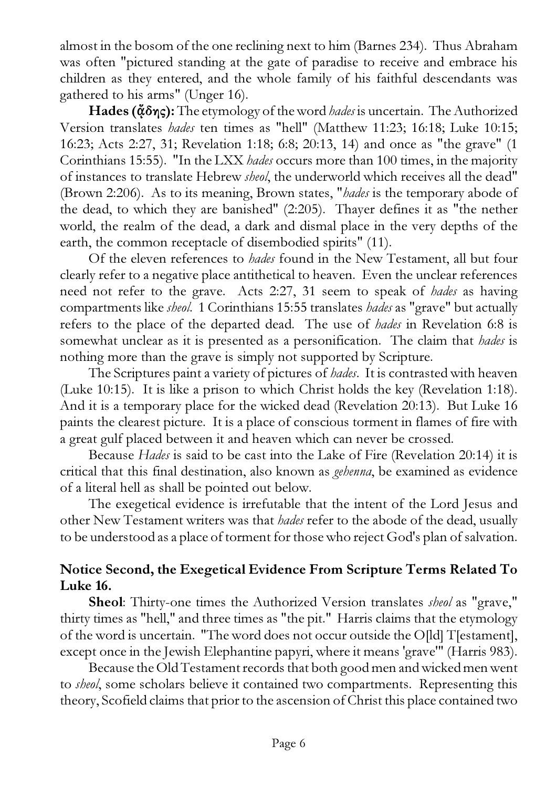almost in the bosom of the one reclining next to him (Barnes 234). Thus Abraham was often "pictured standing at the gate of paradise to receive and embrace his children as they entered, and the whole family of his faithful descendants was gathered to his arms" (Unger 16).

Hades (¢δης): The etymology of the word *hades* is uncertain. The Authorized Version translates *hades* ten times as "hell" (Matthew 11:23; 16:18; Luke 10:15; 16:23; Acts 2:27, 31; Revelation 1:18; 6:8; 20:13, 14) and once as "the grave" (1 Corinthians 15:55). "In the LXX *hades* occurs more than 100 times, in the majority of instances to translate Hebrew *sheol*, the underworld which receives all the dead" (Brown 2:206). As to its meaning, Brown states, "*hades* is the temporary abode of the dead, to which they are banished" (2:205). Thayer defines it as "the nether world, the realm of the dead, a dark and dismal place in the very depths of the earth, the common receptacle of disembodied spirits" (11).

Of the eleven references to *hades* found in the New Testament, all but four clearly refer to a negative place antithetical to heaven. Even the unclear references need not refer to the grave. Acts 2:27, 31 seem to speak of *hades* as having compartments like *sheol*. 1 Corinthians 15:55 translates *hades* as "grave" but actually refers to the place of the departed dead. The use of *hades* in Revelation 6:8 is somewhat unclear as it is presented as a personification. The claim that *hades* is nothing more than the grave is simply not supported by Scripture.

The Scriptures paint a variety of pictures of *hades*. It is contrasted with heaven (Luke 10:15). It is like a prison to which Christ holds the key (Revelation 1:18). And it is a temporary place for the wicked dead (Revelation 20:13). But Luke 16 paints the clearest picture. It is a place of conscious torment in flames of fire with a great gulf placed between it and heaven which can never be crossed.

Because *Hades* is said to be cast into the Lake of Fire (Revelation 20:14) it is critical that this final destination, also known as *gehenna*, be examined as evidence of a literal hell as shall be pointed out below.

The exegetical evidence is irrefutable that the intent of the Lord Jesus and other New Testament writers was that *hades* refer to the abode of the dead, usually to be understood as a place of torment for those who reject God's plan of salvation.

## Notice Second, the Exegetical Evidence From Scripture Terms Related To Luke 16.

Sheol: Thirty-one times the Authorized Version translates *sheol* as "grave," thirty times as "hell," and three times as "the pit." Harris claims that the etymology of the word is uncertain. "The word does not occur outside the O[ld] T[estament], except once in the Jewish Elephantine papyri, where it means 'grave'" (Harris 983).

Because the Old Testament records that both good men and wicked men went to *sheol*, some scholars believe it contained two compartments. Representing this theory, Scofield claims that prior to the ascension of Christ this place contained two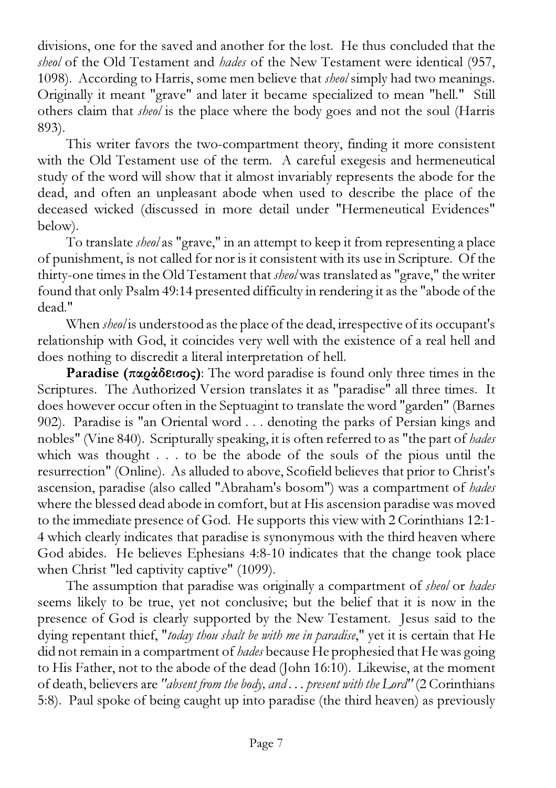divisions, one for the saved and another for the lost. He thus concluded that the *sheol* of the Old Testament and *hades* of the New Testament were identical (957, 1098). According to Harris, some men believe that *sheol* simply had two meanings. Originally it meant "grave" and later it became specialized to mean "hell." Still others claim that *sheol* is the place where the body goes and not the soul (Harris 893).

This writer favors the two-compartment theory, finding it more consistent with the Old Testament use of the term. A careful exegesis and hermeneutical study of the word will show that it almost invariably represents the abode for the dead, and often an unpleasant abode when used to describe the place of the deceased wicked (discussed in more detail under "Hermeneutical Evidences" below).

To translate *sheol* as "grave," in an attempt to keep it from representing a place of punishment, is not called for nor is it consistent with its use in Scripture. Of the thirty-one times in the Old Testament that *sheol* was translated as "grave," the writer found that only Psalm 49:14 presented difficulty in rendering it as the "abode of the dead."

When *sheol* is understood as the place of the dead, irrespective of its occupant's relationship with God, it coincides very well with the existence of a real hell and does nothing to discredit a literal interpretation of hell.

Paradise (παράδεισος): The word paradise is found only three times in the Scriptures. The Authorized Version translates it as "paradise" all three times. It does however occur often in the Septuagint to translate the word "garden" (Barnes 902). Paradise is "an Oriental word . . . denoting the parks of Persian kings and nobles" (Vine 840). Scripturally speaking, it is often referred to as "the part of *hades* which was thought . . . to be the abode of the souls of the pious until the resurrection" (Online). As alluded to above, Scofield believes that prior to Christ's ascension, paradise (also called "Abraham's bosom") was a compartment of *hades* where the blessed dead abode in comfort, but at His ascension paradise was moved to the immediate presence of God. He supports this view with 2 Corinthians 12:1- 4 which clearly indicates that paradise is synonymous with the third heaven where God abides. He believes Ephesians 4:8-10 indicates that the change took place when Christ "led captivity captive" (1099).

The assumption that paradise was originally a compartment of *sheol* or *hades* seems likely to be true, yet not conclusive; but the belief that it is now in the presence of God is clearly supported by the New Testament. Jesus said to the dying repentant thief, "*today thou shalt be with me in paradise*," yet it is certain that He did not remain in a compartment of *hades* because He prophesied that He was going to His Father, not to the abode of the dead (John 16:10). Likewise, at the moment of death, believers are *"absent from the body, and . . . present with the Lord"* (2 Corinthians 5:8). Paul spoke of being caught up into paradise (the third heaven) as previously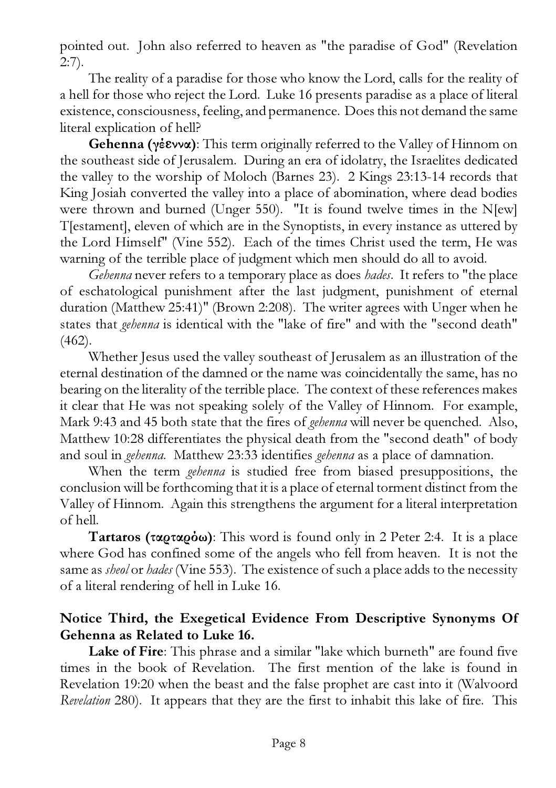pointed out. John also referred to heaven as "the paradise of God" (Revelation  $2:7$ ).

The reality of a paradise for those who know the Lord, calls for the reality of a hell for those who reject the Lord. Luke 16 presents paradise as a place of literal existence, consciousness, feeling, and permanence. Does this not demand the same literal explication of hell?

Gehenna (γέεννα): This term originally referred to the Valley of Hinnom on the southeast side of Jerusalem. During an era of idolatry, the Israelites dedicated the valley to the worship of Moloch (Barnes 23). 2 Kings 23:13-14 records that King Josiah converted the valley into a place of abomination, where dead bodies were thrown and burned (Unger 550). "It is found twelve times in the N[ew] T[estament], eleven of which are in the Synoptists, in every instance as uttered by the Lord Himself" (Vine 552). Each of the times Christ used the term, He was warning of the terrible place of judgment which men should do all to avoid.

*Gehenna* never refers to a temporary place as does *hades*. It refers to "the place of eschatological punishment after the last judgment, punishment of eternal duration (Matthew 25:41)" (Brown 2:208). The writer agrees with Unger when he states that *gehenna* is identical with the "lake of fire" and with the "second death" (462).

Whether Jesus used the valley southeast of Jerusalem as an illustration of the eternal destination of the damned or the name was coincidentally the same, has no bearing on the literality of the terrible place. The context of these references makes it clear that He was not speaking solely of the Valley of Hinnom. For example, Mark 9:43 and 45 both state that the fires of *gehenna* will never be quenched. Also, Matthew 10:28 differentiates the physical death from the "second death" of body and soul in *gehenna*. Matthew 23:33 identifies *gehenna* as a place of damnation.

When the term *gehenna* is studied free from biased presuppositions, the conclusion will be forthcoming that it is a place of eternal torment distinct from the Valley of Hinnom. Again this strengthens the argument for a literal interpretation of hell.

Tartaros (ταρταρόω): This word is found only in 2 Peter 2:4. It is a place where God has confined some of the angels who fell from heaven. It is not the same as *sheol* or *hades* (Vine 553). The existence of such a place adds to the necessity of a literal rendering of hell in Luke 16.

## Notice Third, the Exegetical Evidence From Descriptive Synonyms Of Gehenna as Related to Luke 16.

Lake of Fire: This phrase and a similar "lake which burneth" are found five times in the book of Revelation. The first mention of the lake is found in Revelation 19:20 when the beast and the false prophet are cast into it (Walvoord *Revelation* 280). It appears that they are the first to inhabit this lake of fire. This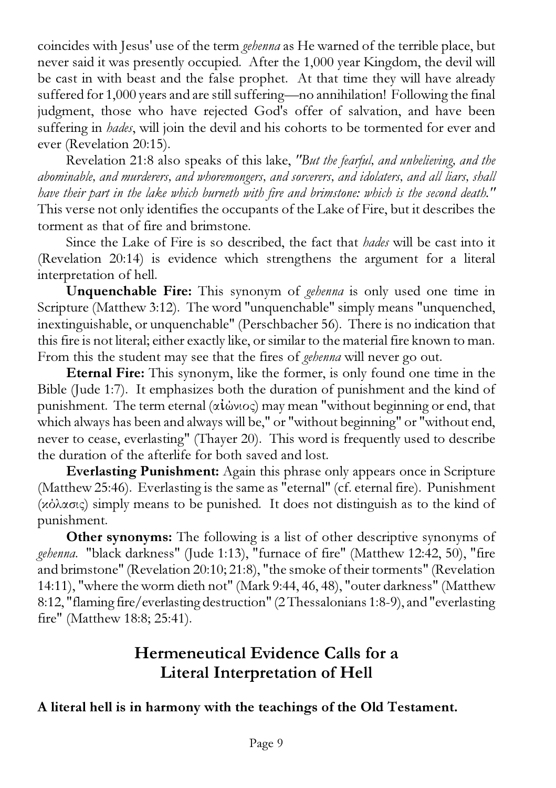coincides with Jesus' use of the term *gehenna* as He warned of the terrible place, but never said it was presently occupied. After the 1,000 year Kingdom, the devil will be cast in with beast and the false prophet. At that time they will have already suffered for 1,000 years and are still suffering—no annihilation! Following the final judgment, those who have rejected God's offer of salvation, and have been suffering in *hades*, will join the devil and his cohorts to be tormented for ever and ever (Revelation 20:15).

Revelation 21:8 also speaks of this lake, *"But the fearful, and unbelieving, and the abominable, and murderers, and whoremongers, and sorcerers, and idolaters, and all liars, shall have their part in the lake which burneth with fire and brimstone: which is the second death."* This verse not only identifies the occupants of the Lake of Fire, but it describes the torment as that of fire and brimstone.

Since the Lake of Fire is so described, the fact that *hades* will be cast into it (Revelation 20:14) is evidence which strengthens the argument for a literal interpretation of hell.

Unquenchable Fire: This synonym of *gehenna* is only used one time in Scripture (Matthew 3:12). The word "unquenchable" simply means "unquenched, inextinguishable, or unquenchable" (Perschbacher 56). There is no indication that this fire is not literal; either exactly like, or similar to the material fire known to man. From this the student may see that the fires of *gehenna* will never go out.

Eternal Fire: This synonym, like the former, is only found one time in the Bible (Jude 1:7). It emphasizes both the duration of punishment and the kind of punishment. The term eternal (αἰώνιος) may mean "without beginning or end, that which always has been and always will be," or "without beginning" or "without end, never to cease, everlasting" (Thayer 20). This word is frequently used to describe the duration of the afterlife for both saved and lost.

Everlasting Punishment: Again this phrase only appears once in Scripture (Matthew 25:46). Everlasting is the same as "eternal" (cf. eternal fire). Punishment (κόλασις) simply means to be punished. It does not distinguish as to the kind of punishment.

Other synonyms: The following is a list of other descriptive synonyms of *gehenna*. "black darkness" (Jude 1:13), "furnace of fire" (Matthew 12:42, 50), "fire and brimstone" (Revelation 20:10; 21:8), "the smoke of their torments" (Revelation 14:11), "where the worm dieth not" (Mark 9:44, 46, 48), "outer darkness" (Matthew 8:12, "flaming fire/everlasting destruction" (2 Thessalonians 1:8-9), and "everlasting fire" (Matthew 18:8; 25:41).

# Hermeneutical Evidence Calls for a Literal Interpretation of Hell

A literal hell is in harmony with the teachings of the Old Testament.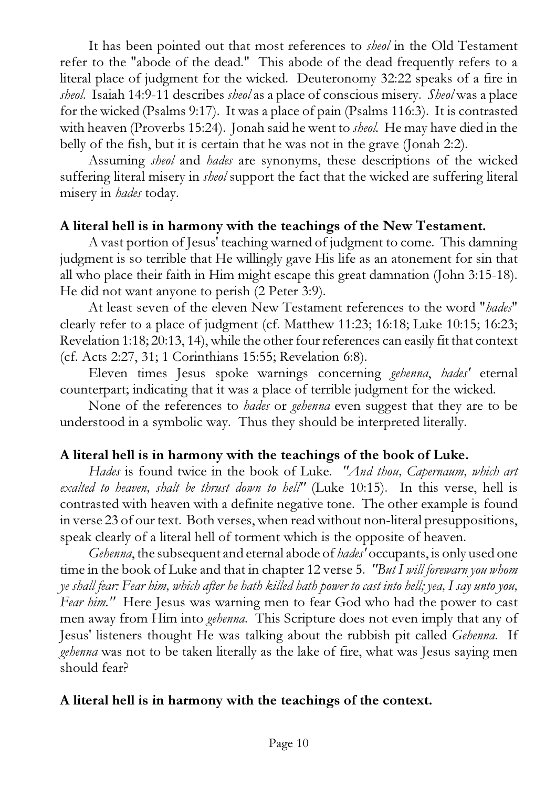It has been pointed out that most references to *sheol* in the Old Testament refer to the "abode of the dead." This abode of the dead frequently refers to a literal place of judgment for the wicked. Deuteronomy 32:22 speaks of a fire in *sheol*. Isaiah 14:9-11 describes *sheol* as a place of conscious misery. *Sheol* was a place for the wicked (Psalms 9:17). It was a place of pain (Psalms 116:3). It is contrasted with heaven (Proverbs 15:24). Jonah said he went to *sheol.* He may have died in the belly of the fish, but it is certain that he was not in the grave (Jonah 2:2).

Assuming *sheol* and *hades* are synonyms, these descriptions of the wicked suffering literal misery in *sheol* support the fact that the wicked are suffering literal misery in *hades* today.

#### A literal hell is in harmony with the teachings of the New Testament.

A vast portion of Jesus' teaching warned of judgment to come. This damning judgment is so terrible that He willingly gave His life as an atonement for sin that all who place their faith in Him might escape this great damnation (John 3:15-18). He did not want anyone to perish (2 Peter 3:9).

At least seven of the eleven New Testament references to the word "*hades*" clearly refer to a place of judgment (cf. Matthew 11:23; 16:18; Luke 10:15; 16:23; Revelation 1:18; 20:13, 14), while the other four references can easily fit that context (cf. Acts 2:27, 31; 1 Corinthians 15:55; Revelation 6:8).

Eleven times Jesus spoke warnings concerning *gehenna*, *hades'* eternal counterpart; indicating that it was a place of terrible judgment for the wicked.

None of the references to *hades* or *gehenna* even suggest that they are to be understood in a symbolic way. Thus they should be interpreted literally.

#### A literal hell is in harmony with the teachings of the book of Luke.

*Hades* is found twice in the book of Luke. *"And thou, Capernaum, which art exalted to heaven, shalt be thrust down to hell"* (Luke 10:15). In this verse, hell is contrasted with heaven with a definite negative tone. The other example is found in verse 23 of our text. Both verses, when read without non-literal presuppositions, speak clearly of a literal hell of torment which is the opposite of heaven.

*Gehenna*, the subsequent and eternal abode of *hades'* occupants, is only used one time in the book of Luke and that in chapter 12 verse 5. *"But I will forewarn you whom ye shall fear: Fear him, which after he hath killed hath power to cast into hell; yea, I say unto you, Fear him."* Here Jesus was warning men to fear God who had the power to cast men away from Him into *gehenna*. This Scripture does not even imply that any of Jesus' listeners thought He was talking about the rubbish pit called *Gehenna*. If *gehenna* was not to be taken literally as the lake of fire, what was Jesus saying men should fear?

#### A literal hell is in harmony with the teachings of the context.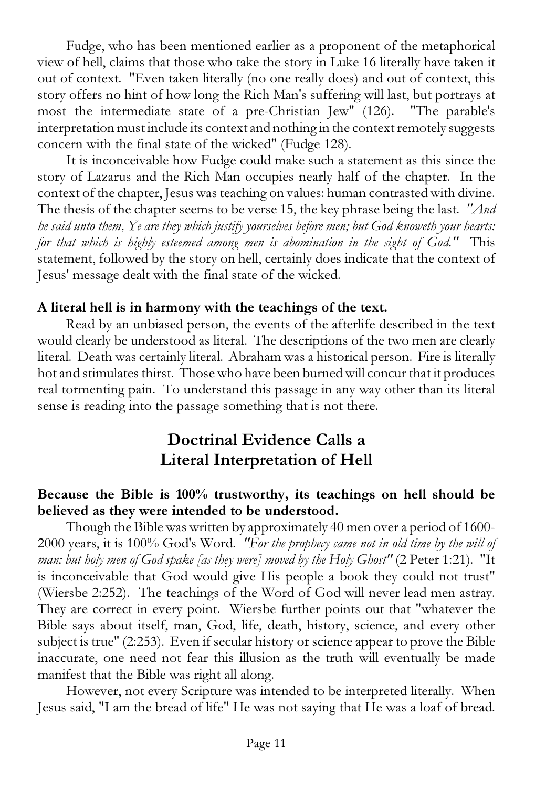Fudge, who has been mentioned earlier as a proponent of the metaphorical view of hell, claims that those who take the story in Luke 16 literally have taken it out of context. "Even taken literally (no one really does) and out of context, this story offers no hint of how long the Rich Man's suffering will last, but portrays at most the intermediate state of a pre-Christian Jew" (126). "The parable's interpretation must include its context and nothing in the context remotely suggests concern with the final state of the wicked" (Fudge 128).

It is inconceivable how Fudge could make such a statement as this since the story of Lazarus and the Rich Man occupies nearly half of the chapter. In the context of the chapter, Jesus was teaching on values: human contrasted with divine. The thesis of the chapter seems to be verse 15, the key phrase being the last. *"And he said unto them, Ye are they which justify yourselves before men; but God knoweth your hearts: for that which is highly esteemed among men is abomination in the sight of God."* This statement, followed by the story on hell, certainly does indicate that the context of Jesus' message dealt with the final state of the wicked.

#### A literal hell is in harmony with the teachings of the text.

Read by an unbiased person, the events of the afterlife described in the text would clearly be understood as literal. The descriptions of the two men are clearly literal. Death was certainly literal. Abraham was a historical person. Fire is literally hot and stimulates thirst. Those who have been burned will concur that it produces real tormenting pain. To understand this passage in any way other than its literal sense is reading into the passage something that is not there.

# Doctrinal Evidence Calls a Literal Interpretation of Hell

#### Because the Bible is 100% trustworthy, its teachings on hell should be believed as they were intended to be understood.

Though the Bible was written by approximately 40 men over a period of 1600- 2000 years, it is 100% God's Word. *"For the prophecy came not in old time by the will of man: but holy men of God spake [as they were] moved by the Holy Ghost"* (2 Peter 1:21). "It is inconceivable that God would give His people a book they could not trust" (Wiersbe 2:252). The teachings of the Word of God will never lead men astray. They are correct in every point. Wiersbe further points out that "whatever the Bible says about itself, man, God, life, death, history, science, and every other subject is true" (2:253). Even if secular history or science appear to prove the Bible inaccurate, one need not fear this illusion as the truth will eventually be made manifest that the Bible was right all along.

However, not every Scripture was intended to be interpreted literally. When Jesus said, "I am the bread of life" He was not saying that He was a loaf of bread.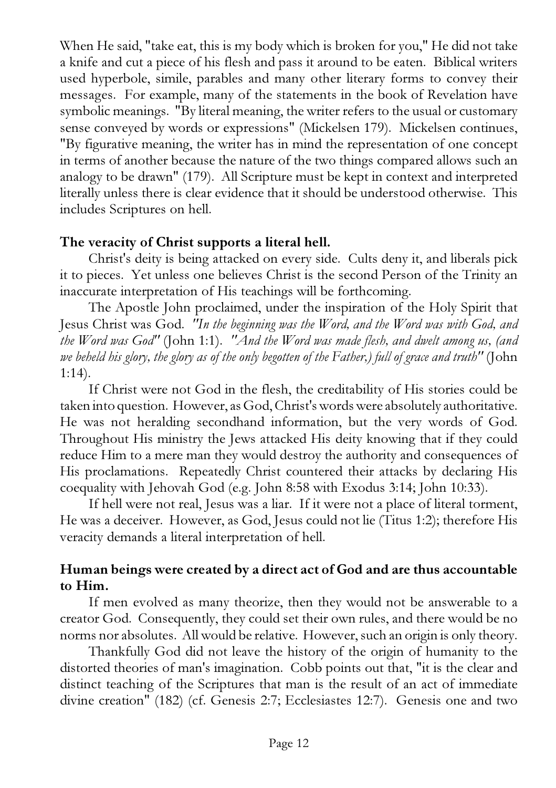When He said, "take eat, this is my body which is broken for you," He did not take a knife and cut a piece of his flesh and pass it around to be eaten. Biblical writers used hyperbole, simile, parables and many other literary forms to convey their messages. For example, many of the statements in the book of Revelation have symbolic meanings. "By literal meaning, the writer refers to the usual or customary sense conveyed by words or expressions" (Mickelsen 179). Mickelsen continues, "By figurative meaning, the writer has in mind the representation of one concept in terms of another because the nature of the two things compared allows such an analogy to be drawn" (179). All Scripture must be kept in context and interpreted literally unless there is clear evidence that it should be understood otherwise. This includes Scriptures on hell.

## The veracity of Christ supports a literal hell.

Christ's deity is being attacked on every side. Cults deny it, and liberals pick it to pieces. Yet unless one believes Christ is the second Person of the Trinity an inaccurate interpretation of His teachings will be forthcoming.

The Apostle John proclaimed, under the inspiration of the Holy Spirit that Jesus Christ was God. *"In the beginning was the Word, and the Word was with God, and the Word was God"* (John 1:1). *"And the Word was made flesh, and dwelt among us, (and we beheld his glory, the glory as of the only begotten of the Father,) full of grace and truth"* (John 1:14).

If Christ were not God in the flesh, the creditability of His stories could be taken into question. However, as God, Christ's words were absolutely authoritative. He was not heralding secondhand information, but the very words of God. Throughout His ministry the Jews attacked His deity knowing that if they could reduce Him to a mere man they would destroy the authority and consequences of His proclamations. Repeatedly Christ countered their attacks by declaring His coequality with Jehovah God (e.g. John 8:58 with Exodus 3:14; John 10:33).

If hell were not real, Jesus was a liar. If it were not a place of literal torment, He was a deceiver. However, as God, Jesus could not lie (Titus 1:2); therefore His veracity demands a literal interpretation of hell.

## Human beings were created by a direct act of God and are thus accountable to Him.

If men evolved as many theorize, then they would not be answerable to a creator God. Consequently, they could set their own rules, and there would be no norms nor absolutes. All would be relative. However, such an origin is only theory.

Thankfully God did not leave the history of the origin of humanity to the distorted theories of man's imagination. Cobb points out that, "it is the clear and distinct teaching of the Scriptures that man is the result of an act of immediate divine creation" (182) (cf. Genesis 2:7; Ecclesiastes 12:7). Genesis one and two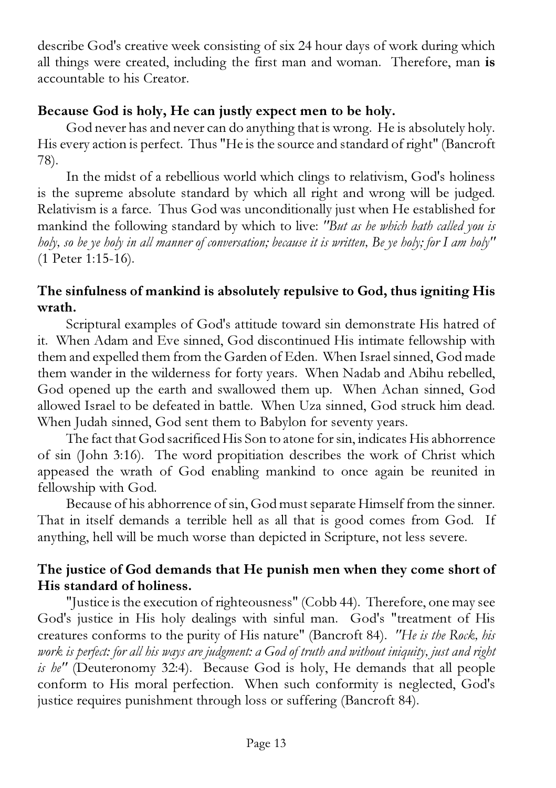describe God's creative week consisting of six 24 hour days of work during which all things were created, including the first man and woman. Therefore, man is accountable to his Creator.

#### Because God is holy, He can justly expect men to be holy.

God never has and never can do anything that is wrong. He is absolutely holy. His every action is perfect. Thus "He is the source and standard of right" (Bancroft 78).

In the midst of a rebellious world which clings to relativism, God's holiness is the supreme absolute standard by which all right and wrong will be judged. Relativism is a farce. Thus God was unconditionally just when He established for mankind the following standard by which to live: *"But as he which hath called you is holy, so be ye holy in all manner of conversation; because it is written, Be ye holy; for I am holy"* (1 Peter 1:15-16).

## The sinfulness of mankind is absolutely repulsive to God, thus igniting His wrath.

Scriptural examples of God's attitude toward sin demonstrate His hatred of it. When Adam and Eve sinned, God discontinued His intimate fellowship with them and expelled them from the Garden of Eden. When Israel sinned, God made them wander in the wilderness for forty years. When Nadab and Abihu rebelled, God opened up the earth and swallowed them up. When Achan sinned, God allowed Israel to be defeated in battle. When Uza sinned, God struck him dead. When Judah sinned, God sent them to Babylon for seventy years.

The fact that God sacrificed His Son to atone for sin, indicates His abhorrence of sin (John 3:16). The word propitiation describes the work of Christ which appeased the wrath of God enabling mankind to once again be reunited in fellowship with God.

Because of his abhorrence of sin, God must separate Himself from the sinner. That in itself demands a terrible hell as all that is good comes from God. If anything, hell will be much worse than depicted in Scripture, not less severe.

# The justice of God demands that He punish men when they come short of His standard of holiness.

"Justice is the execution of righteousness" (Cobb 44). Therefore, one may see God's justice in His holy dealings with sinful man. God's "treatment of His creatures conforms to the purity of His nature" (Bancroft 84). *"He is the Rock, his work is perfect: for all his ways are judgment: a God of truth and without iniquity, just and right is he"* (Deuteronomy 32:4). Because God is holy, He demands that all people conform to His moral perfection. When such conformity is neglected, God's justice requires punishment through loss or suffering (Bancroft 84).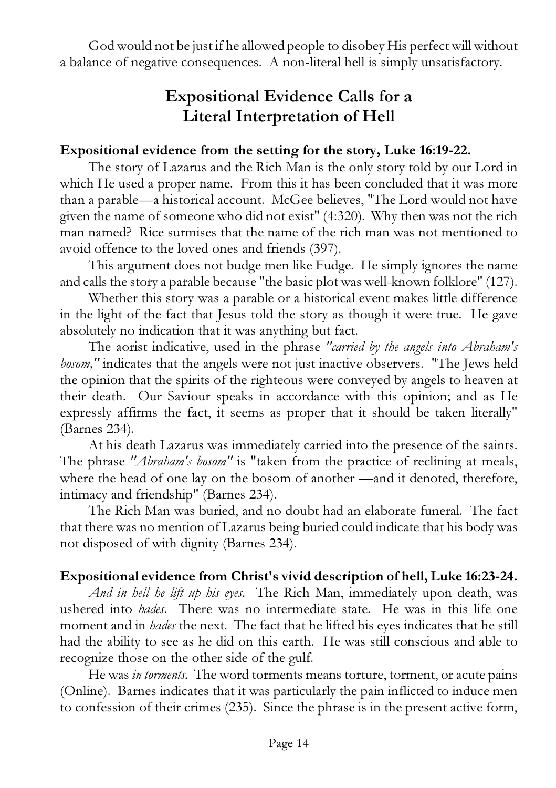God would not be just if he allowed people to disobey His perfect will without a balance of negative consequences. A non-literal hell is simply unsatisfactory.

# Expositional Evidence Calls for a Literal Interpretation of Hell

#### Expositional evidence from the setting for the story, Luke 16:19-22.

The story of Lazarus and the Rich Man is the only story told by our Lord in which He used a proper name. From this it has been concluded that it was more than a parable—a historical account. McGee believes, "The Lord would not have given the name of someone who did not exist" (4:320). Why then was not the rich man named? Rice surmises that the name of the rich man was not mentioned to avoid offence to the loved ones and friends (397).

This argument does not budge men like Fudge. He simply ignores the name and calls the story a parable because "the basic plot was well-known folklore" (127).

Whether this story was a parable or a historical event makes little difference in the light of the fact that Jesus told the story as though it were true. He gave absolutely no indication that it was anything but fact.

The aorist indicative, used in the phrase *"carried by the angels into Abraham's bosom,"* indicates that the angels were not just inactive observers. "The Jews held the opinion that the spirits of the righteous were conveyed by angels to heaven at their death. Our Saviour speaks in accordance with this opinion; and as He expressly affirms the fact, it seems as proper that it should be taken literally" (Barnes 234).

At his death Lazarus was immediately carried into the presence of the saints. The phrase *"Abraham's bosom"* is "taken from the practice of reclining at meals, where the head of one lay on the bosom of another —and it denoted, therefore, intimacy and friendship" (Barnes 234).

The Rich Man was buried, and no doubt had an elaborate funeral. The fact that there was no mention of Lazarus being buried could indicate that his body was not disposed of with dignity (Barnes 234).

#### Expositional evidence from Christ's vivid description of hell, Luke 16:23-24.

*And in hell he lift up his eyes.* The Rich Man, immediately upon death, was ushered into *hades*. There was no intermediate state. He was in this life one moment and in *hades* the next. The fact that he lifted his eyes indicates that he still had the ability to see as he did on this earth. He was still conscious and able to recognize those on the other side of the gulf.

He was *in torments.* The word torments means torture, torment, or acute pains (Online). Barnes indicates that it was particularly the pain inflicted to induce men to confession of their crimes (235). Since the phrase is in the present active form,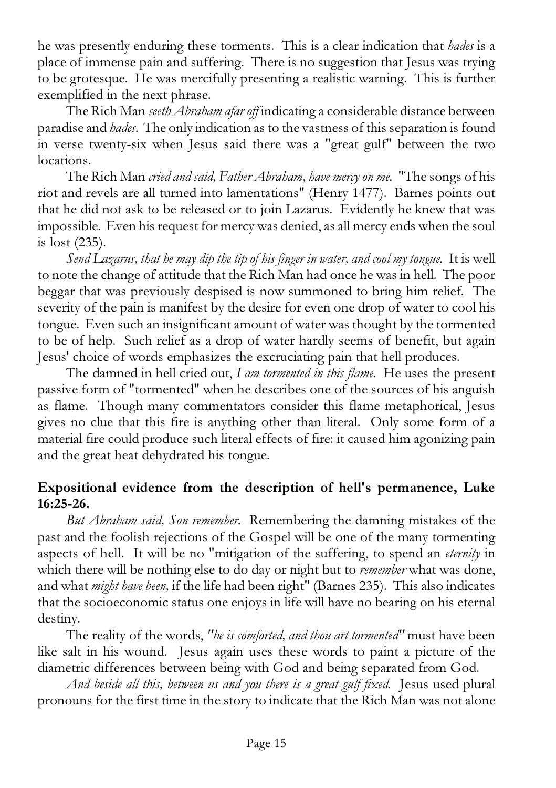he was presently enduring these torments. This is a clear indication that *hades* is a place of immense pain and suffering. There is no suggestion that Jesus was trying to be grotesque. He was mercifully presenting a realistic warning. This is further exemplified in the next phrase.

The Rich Man *seeth Abraham afar off* indicating a considerable distance between paradise and *hades.* The only indication as to the vastness of this separation is found in verse twenty-six when Jesus said there was a "great gulf" between the two locations.

The Rich Man *cried and said, Father Abraham, have mercy on me.* "The songs of his riot and revels are all turned into lamentations" (Henry 1477). Barnes points out that he did not ask to be released or to join Lazarus. Evidently he knew that was impossible. Even his request for mercy was denied, as all mercy ends when the soul is lost (235).

*Send Lazarus, that he may dip the tip of his finger in water, and cool my tongue.* It is well to note the change of attitude that the Rich Man had once he was in hell. The poor beggar that was previously despised is now summoned to bring him relief. The severity of the pain is manifest by the desire for even one drop of water to cool his tongue. Even such an insignificant amount of water was thought by the tormented to be of help. Such relief as a drop of water hardly seems of benefit, but again Jesus' choice of words emphasizes the excruciating pain that hell produces.

The damned in hell cried out, *I am tormented in this flame.* He uses the present passive form of "tormented" when he describes one of the sources of his anguish as flame. Though many commentators consider this flame metaphorical, Jesus gives no clue that this fire is anything other than literal. Only some form of a material fire could produce such literal effects of fire: it caused him agonizing pain and the great heat dehydrated his tongue.

## Expositional evidence from the description of hell's permanence, Luke 16:25-26.

*But Abraham said, Son remember.* Remembering the damning mistakes of the past and the foolish rejections of the Gospel will be one of the many tormenting aspects of hell. It will be no "mitigation of the suffering, to spend an *eternity* in which there will be nothing else to do day or night but to *remember* what was done, and what *might have been,* if the life had been right" (Barnes 235). This also indicates that the socioeconomic status one enjoys in life will have no bearing on his eternal destiny.

The reality of the words, *"he is comforted, and thou art tormented"* must have been like salt in his wound. Jesus again uses these words to paint a picture of the diametric differences between being with God and being separated from God.

*And beside all this, between us and you there is a great gulf fixed.* Jesus used plural pronouns for the first time in the story to indicate that the Rich Man was not alone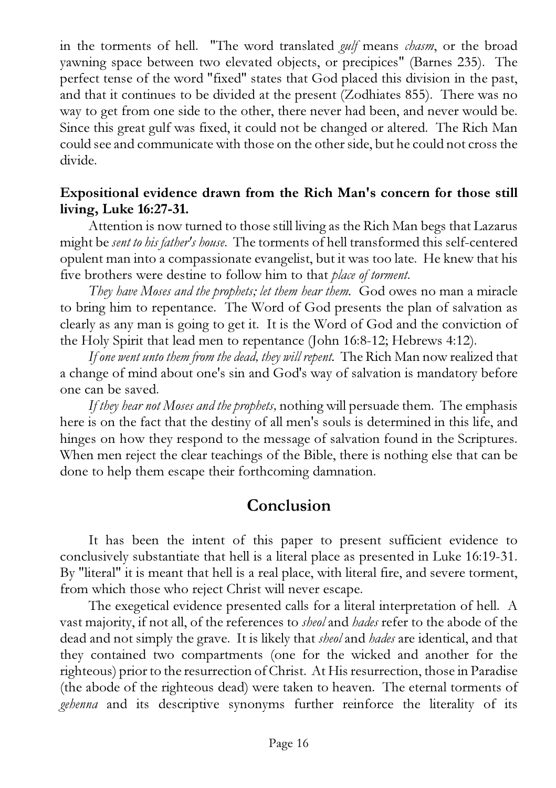in the torments of hell. "The word translated *gulf* means *chasm*, or the broad yawning space between two elevated objects, or precipices" (Barnes 235). The perfect tense of the word "fixed" states that God placed this division in the past, and that it continues to be divided at the present (Zodhiates 855). There was no way to get from one side to the other, there never had been, and never would be. Since this great gulf was fixed, it could not be changed or altered. The Rich Man could see and communicate with those on the other side, but he could not cross the divide.

#### Expositional evidence drawn from the Rich Man's concern for those still living, Luke 16:27-31.

Attention is now turned to those still living as the Rich Man begs that Lazarus might be *sent to his father's house*. The torments of hell transformed this self-centered opulent man into a compassionate evangelist, but it was too late. He knew that his five brothers were destine to follow him to that *place of torment*.

*They have Moses and the prophets; let them hear them.* God owes no man a miracle to bring him to repentance. The Word of God presents the plan of salvation as clearly as any man is going to get it. It is the Word of God and the conviction of the Holy Spirit that lead men to repentance (John 16:8-12; Hebrews 4:12).

*If one went unto them from the dead, they will repent.* The Rich Man now realized that a change of mind about one's sin and God's way of salvation is mandatory before one can be saved.

*If they hear not Moses and the prophets,* nothing will persuade them. The emphasis here is on the fact that the destiny of all men's souls is determined in this life, and hinges on how they respond to the message of salvation found in the Scriptures. When men reject the clear teachings of the Bible, there is nothing else that can be done to help them escape their forthcoming damnation.

# Conclusion

It has been the intent of this paper to present sufficient evidence to conclusively substantiate that hell is a literal place as presented in Luke 16:19-31. By "literal" it is meant that hell is a real place, with literal fire, and severe torment, from which those who reject Christ will never escape.

The exegetical evidence presented calls for a literal interpretation of hell. A vast majority, if not all, of the references to *sheol* and *hades* refer to the abode of the dead and not simply the grave. It is likely that *sheol* and *hades* are identical, and that they contained two compartments (one for the wicked and another for the righteous) prior to the resurrection of Christ. At His resurrection, those in Paradise (the abode of the righteous dead) were taken to heaven. The eternal torments of *gehenna* and its descriptive synonyms further reinforce the literality of its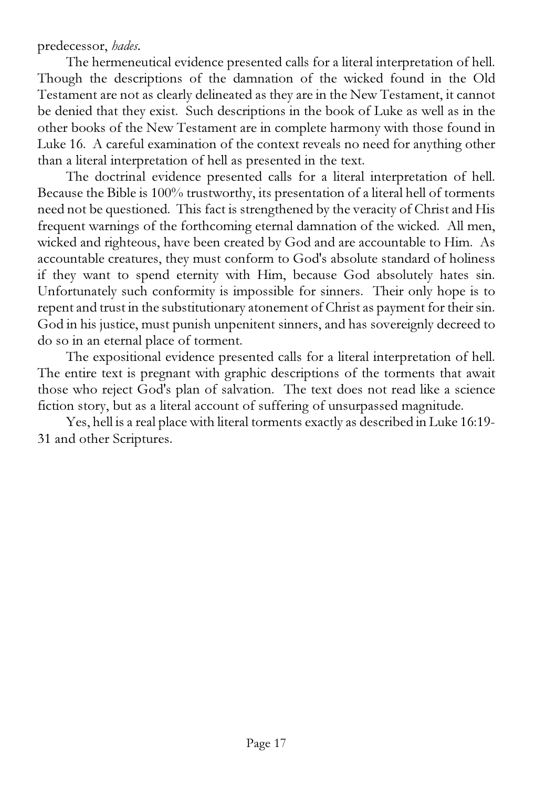#### predecessor, *hades.*

The hermeneutical evidence presented calls for a literal interpretation of hell. Though the descriptions of the damnation of the wicked found in the Old Testament are not as clearly delineated as they are in the New Testament, it cannot be denied that they exist. Such descriptions in the book of Luke as well as in the other books of the New Testament are in complete harmony with those found in Luke 16. A careful examination of the context reveals no need for anything other than a literal interpretation of hell as presented in the text.

The doctrinal evidence presented calls for a literal interpretation of hell. Because the Bible is 100% trustworthy, its presentation of a literal hell of torments need not be questioned. This fact is strengthened by the veracity of Christ and His frequent warnings of the forthcoming eternal damnation of the wicked. All men, wicked and righteous, have been created by God and are accountable to Him. As accountable creatures, they must conform to God's absolute standard of holiness if they want to spend eternity with Him, because God absolutely hates sin. Unfortunately such conformity is impossible for sinners. Their only hope is to repent and trust in the substitutionary atonement of Christ as payment for their sin. God in his justice, must punish unpenitent sinners, and has sovereignly decreed to do so in an eternal place of torment.

The expositional evidence presented calls for a literal interpretation of hell. The entire text is pregnant with graphic descriptions of the torments that await those who reject God's plan of salvation. The text does not read like a science fiction story, but as a literal account of suffering of unsurpassed magnitude.

Yes, hell is a real place with literal torments exactly as described in Luke 16:19- 31 and other Scriptures.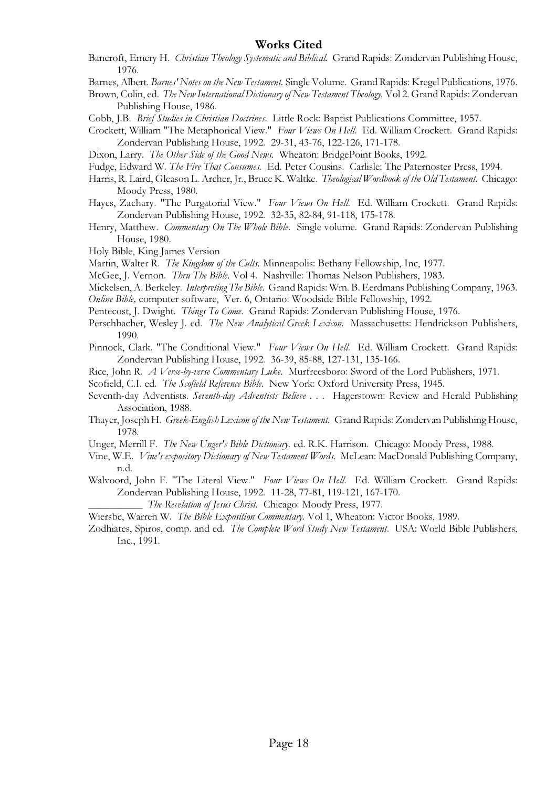#### Works Cited

- Bancroft, Emery H. Christian Theology Systematic and Biblical. Grand Rapids: Zondervan Publishing House, 1976.
- Barnes, Albert. Barnes' Notes on the New Testament. Single Volume. Grand Rapids: Kregel Publications, 1976.
- Brown, Colin, ed. The New International Dictionary of New Testament Theology. Vol 2. Grand Rapids: Zondervan Publishing House, 1986.
- Cobb, J.B. Brief Studies in Christian Doctrines. Little Rock: Baptist Publications Committee, 1957.
- Crockett, William "The Metaphorical View." Four Views On Hell. Ed. William Crockett. Grand Rapids: Zondervan Publishing House, 1992. 29-31, 43-76, 122-126, 171-178.
- Dixon, Larry. The Other Side of the Good News. Wheaton: BridgePoint Books, 1992.
- Fudge, Edward W. The Fire That Consumes. Ed. Peter Cousins. Carlisle: The Paternoster Press, 1994.
- Harris, R. Laird, Gleason L. Archer, Jr., Bruce K. Waltke. Theological Wordbook of the Old Testament. Chicago: Moody Press, 1980.
- Hayes, Zachary. "The Purgatorial View." Four Views On Hell. Ed. William Crockett. Grand Rapids: Zondervan Publishing House, 1992. 32-35, 82-84, 91-118, 175-178.
- Henry, Matthew. Commentary On The Whole Bible. Single volume. Grand Rapids: Zondervan Publishing House, 1980.
- Holy Bible, King James Version
- Martin, Walter R. The Kingdom of the Cults. Minneapolis: Bethany Fellowship, Inc, 1977.
- McGee, J. Vernon. Thru The Bible. Vol 4. Nashville: Thomas Nelson Publishers, 1983.
- Mickelsen, A. Berkeley. Interpreting The Bible. Grand Rapids: Wm. B. Eerdmans Publishing Company, 1963.
- Online Bible, computer software, Ver. 6, Ontario: Woodside Bible Fellowship, 1992.
- Pentecost, J. Dwight. *Things To Come.* Grand Rapids: Zondervan Publishing House, 1976.
- Perschbacher, Wesley J. ed. The New Analytical Greek Lexicon. Massachusetts: Hendrickson Publishers, 1990.
- Pinnock, Clark. "The Conditional View." Four Views On Hell. Ed. William Crockett. Grand Rapids: Zondervan Publishing House, 1992. 36-39, 85-88, 127-131, 135-166.
- Rice, John R. A Verse-by-verse Commentary Luke. Murfreesboro: Sword of the Lord Publishers, 1971.
- Scofield, C.I. ed. The Scofield Reference Bible. New York: Oxford University Press, 1945.
- Seventh-day Adventists. Seventh-day Adventists Believe . . . Hagerstown: Review and Herald Publishing Association, 1988.
- Thayer, Joseph H. Greek-English Lexicon of the New Testament. Grand Rapids: Zondervan Publishing House, 1978.
- Unger, Merrill F. The New Unger's Bible Dictionary. ed. R.K. Harrison. Chicago: Moody Press, 1988.
- Vine, W.E. Vine's expository Dictionary of New Testament Words. McLean: MacDonald Publishing Company, n.d.
- Walvoord, John F. "The Literal View." Four Views On Hell. Ed. William Crockett. Grand Rapids: Zondervan Publishing House, 1992. 11-28, 77-81, 119-121, 167-170.
	- The Revelation of Jesus Christ. Chicago: Moody Press, 1977.
- Wiersbe, Warren W. The Bible Exposition Commentary. Vol 1, Wheaton: Victor Books, 1989.
- Zodhiates, Spiros, comp. and ed. The Complete Word Study New Testament. USA: World Bible Publishers, Inc., 1991.